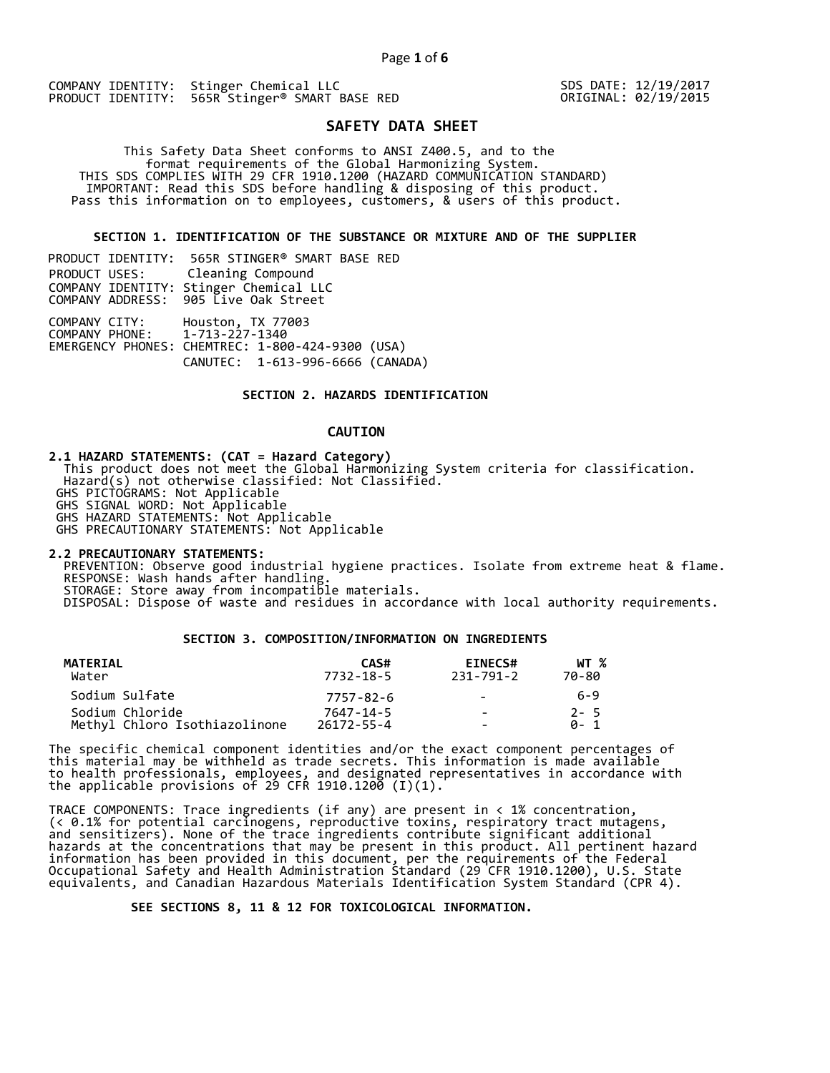SDS DATE: 12/19/2017 ORIGINAL: 02/19/2015

# **SAFETY DATA SHEET**

 This Safety Data Sheet conforms to ANSI Z400.5, and to the format requirements of the Global Harmonizing System. THIS SDS COMPLIES WITH 29 CFR 1910.1200 (HAZARD COMMUNICATION STANDARD) IMPORTANT: Read this SDS before handling & disposing of this product. Pass this information on to employees, customers, & users of this product.

**SECTION 1. IDENTIFICATION OF THE SUBSTANCE OR MIXTURE AND OF THE SUPPLIER** 

|                                                | PRODUCT IDENTITY: 565R STINGER® SMART BASE RED                                                            |
|------------------------------------------------|-----------------------------------------------------------------------------------------------------------|
| PRODUCT USES:                                  | Cleaning Compound                                                                                         |
|                                                | COMPANY IDENTITY: Stinger Chemical LLC                                                                    |
|                                                | COMPANY ADDRESS: 905 Live Oak Street                                                                      |
| COMPANY CITY:<br>COMPANY PHONE: 1-713-227-1340 | Houston, TX 77003<br>EMERGENCY PHONES: CHEMTREC: 1-800-424-9300 (USA)<br>CANUTEC: 1-613-996-6666 (CANADA) |

# **SECTION 2. HAZARDS IDENTIFICATION**

# **CAUTION**

**2.1 HAZARD STATEMENTS: (CAT = Hazard Category)**

 This product does not meet the Global Harmonizing System criteria for classification. Hazard(s) not otherwise classified: Not Classified.

GHS PICTOGRAMS: Not Applicable

GHS SIGNAL WORD: Not Applicable

GHS HAZARD STATEMENTS: Not Applicable

GHS PRECAUTIONARY STATEMENTS: Not Applicable

**2.2 PRECAUTIONARY STATEMENTS:** 

 PREVENTION: Observe good industrial hygiene practices. Isolate from extreme heat & flame. RESPONSE: Wash hands after handling. STORAGE: Store away from incompatible materials.

DISPOSAL: Dispose of waste and residues in accordance with local authority requirements.

# **SECTION 3. COMPOSITION/INFORMATION ON INGREDIENTS**

| MATERIAL<br>Water             | CAS#<br>7732-18-5 | <b>EINECS#</b><br>231-791-2 | WT %<br>70-80 |
|-------------------------------|-------------------|-----------------------------|---------------|
| Sodium Sulfate                | 7757-82-6         | $\overline{\phantom{0}}$    | 6-9           |
| Sodium Chloride               | 7647-14-5         | $\equiv$                    | $2 - 5$       |
| Methyl Chloro Isothiazolinone | 26172-55-4        | $\qquad \qquad$             | A- 1          |

The specific chemical component identities and/or the exact component percentages of this material may be withheld as trade secrets. This information is made available to health professionals, employees, and designated representatives in accordance with the applicable provisions of 29 CFR 1910.1200̄ (I)(1).  $\overline{\phantom{a}}$ 

TRACE COMPONENTS: Trace ingredients (if any) are present in < 1% concentration, (< 0.1% for potential carcinogens, reproductive toxins, respiratory tract mutagens, and sensitizers). None of the trace ingredients contribute significant additional hazards at the concentrations that may be present in this product. All pertinent hazard information has been provided in this document, per the requirements of the Federal Occupational Safety and Health Administration Standard (29 CFR 1910.1200), U.S. State equivalents, and Canadian Hazardous Materials Identification System Standard (CPR 4).

 **SEE SECTIONS 8, 11 & 12 FOR TOXICOLOGICAL INFORMATION.**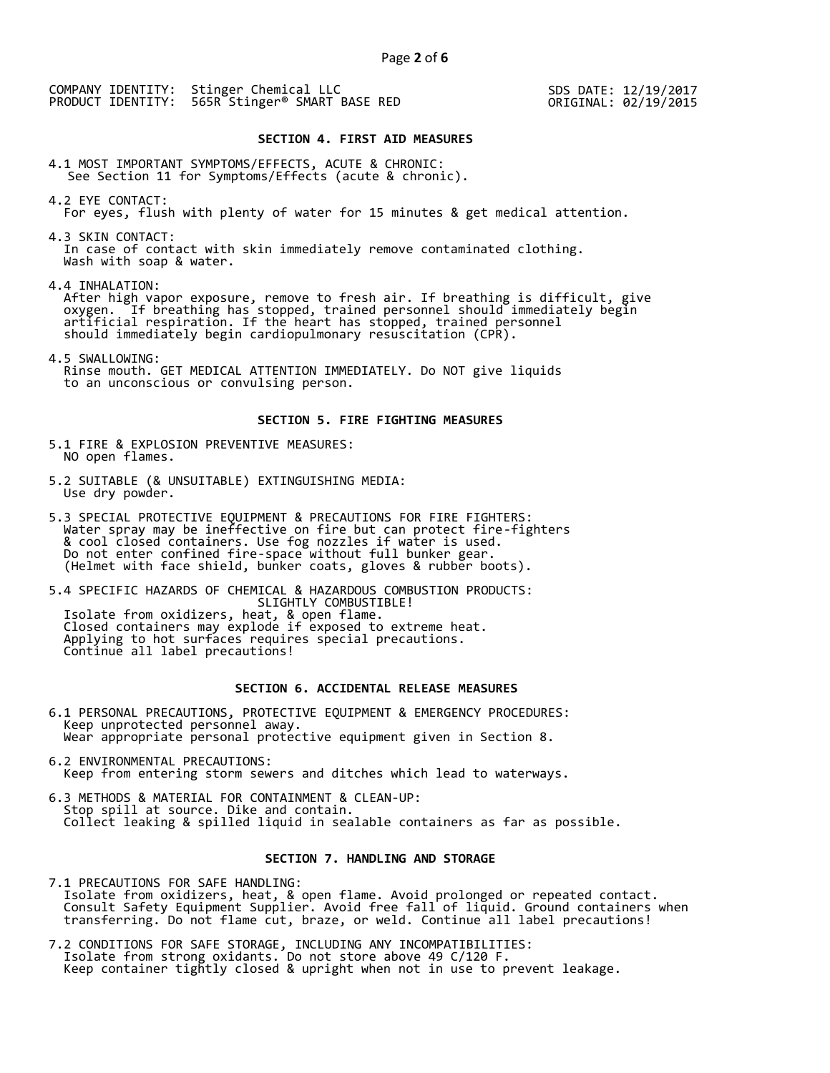SDS DATE: 12/19/2017 ORIGINAL: 02/19/2015

## **SECTION 4. FIRST AID MEASURES**

4.1 MOST IMPORTANT SYMPTOMS/EFFECTS, ACUTE & CHRONIC: See Section 11 for Symptoms/Effects (acute & chronic).

4.2 EYE CONTACT: For eyes, flush with plenty of water for 15 minutes & get medical attention.

4.3 SKIN CONTACT: In case of contact with skin immediately remove contaminated clothing. Wash with soap & water.

4.4 INHALATION:

 After high vapor exposure, remove to fresh air. If breathing is difficult, give oxygen. If breathing has stopped, trained personnel should immediately begin artificial respiration. If the heart has stopped, trained personnel should immediately begin cardiopulmonary resuscitation (CPR).

4.5 SWALLOWING: Rinse mouth. GET MEDICAL ATTENTION IMMEDIATELY. Do NOT give liquids to an unconscious or convulsing person.

# **SECTION 5. FIRE FIGHTING MEASURES**

5.1 FIRE & EXPLOSION PREVENTIVE MEASURES: NO open flames.

- 5.2 SUITABLE (& UNSUITABLE) EXTINGUISHING MEDIA: Use dry powder.
- 5.3 SPECIAL PROTECTIVE EQUIPMENT & PRECAUTIONS FOR FIRE FIGHTERS: Water spray may be ineffective on fire but can protect fire-fighters & cool closed containers. Use fog nozzles if water is used. Do not enter confined fire-space without full bunker gear. (Helmet with face shield, bunker coats, gloves & rubber boots).

5.4 SPECIFIC HAZARDS OF CHEMICAL & HAZARDOUS COMBUSTION PRODUCTS: SLIGHTLY COMBUSTIBLE! Isolate from oxidizers, heat, & open flame. Closed containers may explode if exposed to extreme heat. Applying to hot surfaces requires special precautions. Continue all label precautions!

# **SECTION 6. ACCIDENTAL RELEASE MEASURES**

- 6.1 PERSONAL PRECAUTIONS, PROTECTIVE EQUIPMENT & EMERGENCY PROCEDURES: Keep unprotected personnel away. Wear appropriate personal protective equipment given in Section 8.
- 6.2 ENVIRONMENTAL PRECAUTIONS: Keep from entering storm sewers and ditches which lead to waterways.
- 6.3 METHODS & MATERIAL FOR CONTAINMENT & CLEAN-UP: Stop spill at source. Dike and contain. Collect leaking & spilled liquid in sealable containers as far as possible.

# **SECTION 7. HANDLING AND STORAGE**

7.1 PRECAUTIONS FOR SAFE HANDLING: Isolate from oxidizers, heat, & open flame. Avoid prolonged or repeated contact. Consult Safety Equipment Supplier. Avoid free fall of liquid. Ground containers when transferring. Do not flame cut, braze, or weld. Continue all label precautions!

7.2 CONDITIONS FOR SAFE STORAGE, INCLUDING ANY INCOMPATIBILITIES: Isolate from strong oxidants. Do not store above 49 C/120 F. Keep container tightly closed & upright when not in use to prevent leakage.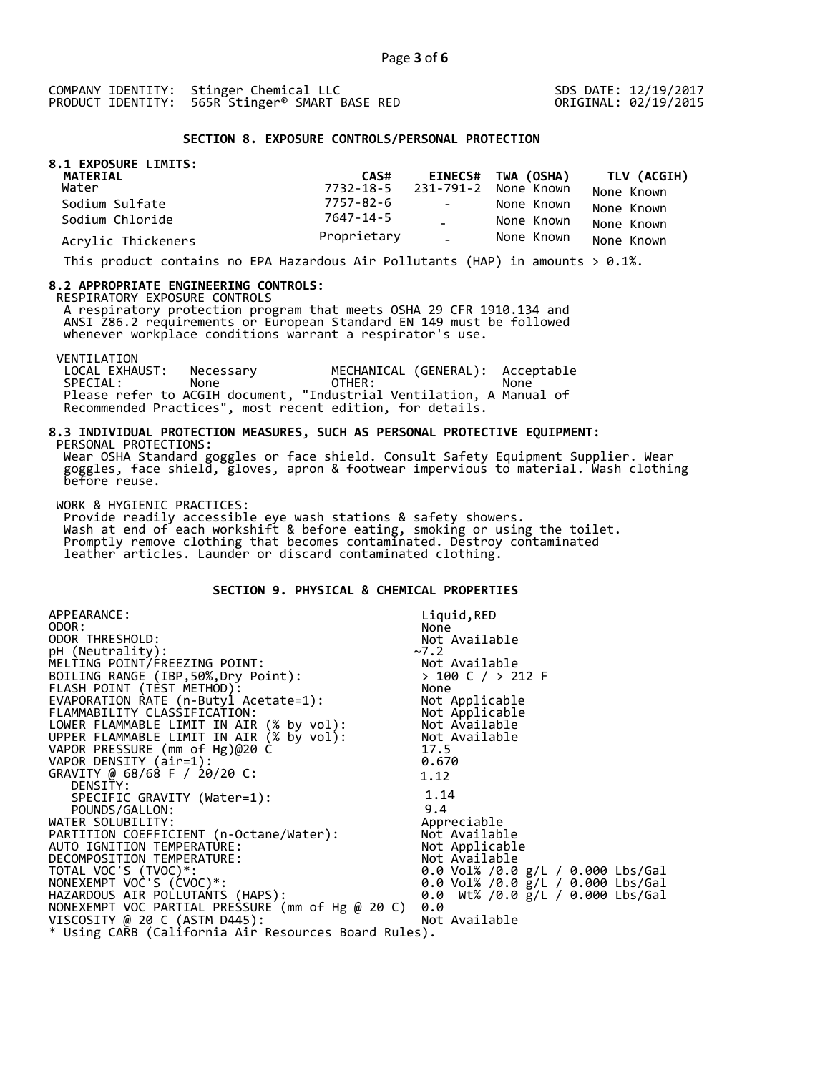SDS DATE: 12/19/2017 ORIGINAL: 02/19/2015

# **SECTION 8. EXPOSURE CONTROLS/PERSONAL PROTECTION**

| 8.1 EXPOSURE LIMITS:<br>MATERIAL | CAS#        |               | EINECS# TWA (OSHA)             | TLV (ACGIH) |
|----------------------------------|-------------|---------------|--------------------------------|-------------|
| Water                            |             |               | 7732-18-5 231-791-2 None Known | None Known  |
| Sodium Sulfate                   | 7757-82-6   | $\sim$        | None Known                     | None Known  |
| Sodium Chloride                  | 7647-14-5   |               | None Known                     | None Known  |
| Acrylic Thickeners               | Proprietary | $\Delta \phi$ | None Known                     | None Known  |

This product contains no EPA Hazardous Air Pollutants (HAP) in amounts  $> 0.1\%$ .

### **8.2 APPROPRIATE ENGINEERING CONTROLS:**

RESPIRATORY EXPOSURE CONTROLS

 A respiratory protection program that meets OSHA 29 CFR 1910.134 and ANSI Z86.2 requirements or European Standard EN 149 must be followed whenever workplace conditions warrant a respirator's use.

VENTILATION<br>LOCAL EXHAUST: LOCAL EXHAUST: Necessary MECHANICAL (GENERAL): Acceptable SPECIAL: None OTHER: None Please refer to ACGIH document, "Industrial Ventilation, A Manual of Recommended Practices", most recent edition, for details.

#### **8.3 INDIVIDUAL PROTECTION MEASURES, SUCH AS PERSONAL PROTECTIVE EQUIPMENT:**  PERSONAL PROTECTIONS:

 Wear OSHA Standard goggles or face shield. Consult Safety Equipment Supplier. Wear goggles, face shield, gloves, apron & footwear impervious to material. Wash clothing before reuse.

WORK & HYGIENIC PRACTICES:

 Provide readily accessible eye wash stations & safety showers. Wash at end of each workshift & before eating, smoking or using the toilet. Promptly remove clothing that becomes contaminated. Destroy contaminated leather articles. Launder or discard contaminated clothing.

# **SECTION 9. PHYSICAL & CHEMICAL PROPERTIES**

| APPEARANCE:                                                                                                                                      | Liquid, RED                                |
|--------------------------------------------------------------------------------------------------------------------------------------------------|--------------------------------------------|
| ODOR:                                                                                                                                            | None                                       |
| ODOR THRESHOLD:                                                                                                                                  | Not Available                              |
| pH (Neutrality):                                                                                                                                 | $~2$ .2                                    |
| MELTING POINT/FREEZING POINT:                                                                                                                    |                                            |
| BOILING RANGE (IBP, 50%, Dry Point):                                                                                                             | Not Available<br>> 100 C / > 212 F<br>Note |
| FLASH POINT (TÈST METHOD):                                                                                                                       | None                                       |
| EVAPORATION RATE (n-Butyl Acetate=1):                                                                                                            | Not Applicable                             |
| FLAMMABILITY CLASSIFICATION:<br>LOWER FLAMMABLE LIMIT IN AIR (% by vol): Not Available<br>UPPER FLAMMABLE LIMIT IN AIR (% by vol): Not Available |                                            |
|                                                                                                                                                  |                                            |
|                                                                                                                                                  |                                            |
| VAPOR PRESSURE (mm of Hg)@20 C                                                                                                                   | 17.5                                       |
| VAPOR DENSITY (air=1):                                                                                                                           | 0.670                                      |
| GRAVITY @ 68/68 F / 20/20 C:                                                                                                                     | 1.12                                       |
| DENSITY:                                                                                                                                         |                                            |
| SPECIFIC GRAVITY (Water=1):                                                                                                                      | 1.14                                       |
| POUNDS/GALLON:                                                                                                                                   | 9.4                                        |
| WATER SOLUBILITY:                                                                                                                                | Appreciable                                |
| PARTITION COEFFICIENT (n-Octane/Water):                                                                                                          | Not Available                              |
| AUTO IGNITION TEMPERATURE:                                                                                                                       | Not Applicable                             |
| DECOMPOSITION TEMPERATURE:                                                                                                                       | Not Available                              |
| TOTAL VOC'S (TVOC)*:                                                                                                                             | 0.0 Vol% /0.0 g/L / 0.000 Lbs/Gal          |
| NONEXEMPT VOC'S (CVOC)*:                                                                                                                         | 0.0 Vol% /0.0 $\bar{g}/L$ / 0.000 Lbs/Gal  |
| HAZARDOUS AIR POLLUTANTS (HAPS):                                                                                                                 | 0.0 Wt% /0.0 g/L / 0.000 Lbs/Gal           |
| NONEXEMPT VOC PARTIAL PRESSURE (mm of Hg @ 20 C)                                                                                                 | 0.0                                        |
| VISCOSITY @ 20 C (ASTM D445):                                                                                                                    | Not Available                              |
| * Using CARB (California Air Resources Board Rules).                                                                                             |                                            |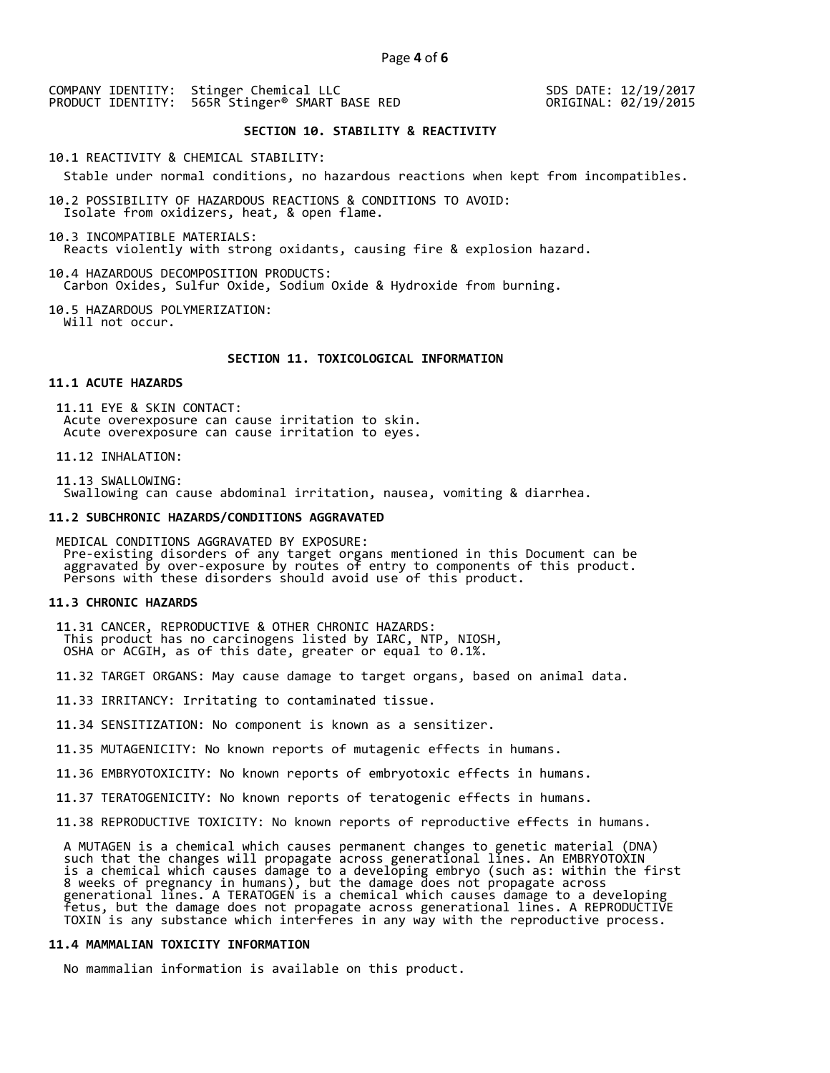SDS DATE: 12/19/2017 ORIGINAL: 02/19/2015

# **SECTION 10. STABILITY & REACTIVITY**

10.1 REACTIVITY & CHEMICAL STABILITY:

Stable under normal conditions, no hazardous reactions when kept from incompatibles.

10.2 POSSIBILITY OF HAZARDOUS REACTIONS & CONDITIONS TO AVOID: Isolate from oxidizers, heat, & open flame.

10.3 INCOMPATIBLE MATERIALS: Reacts violently with strong oxidants, causing fire & explosion hazard.

10.4 HAZARDOUS DECOMPOSITION PRODUCTS: Carbon Oxides, Sulfur Oxide, Sodium Oxide & Hydroxide from burning.

10.5 HAZARDOUS POLYMERIZATION: Will not occur.

# **SECTION 11. TOXICOLOGICAL INFORMATION**

# **11.1 ACUTE HAZARDS**

 11.11 EYE & SKIN CONTACT: Acute overexposure can cause irritation to skin. Acute overexposure can cause irritation to eyes.

11.12 INHALATION:

 11.13 SWALLOWING: Swallowing can cause abdominal irritation, nausea, vomiting & diarrhea.

#### **11.2 SUBCHRONIC HAZARDS/CONDITIONS AGGRAVATED**

 MEDICAL CONDITIONS AGGRAVATED BY EXPOSURE: Pre-existing disorders of any target organs mentioned in this Document can be aggravated by over-exposure by routes of entry to components of this product. Persons with these disorders should avoid use of this product.

## **11.3 CHRONIC HAZARDS**

 11.31 CANCER, REPRODUCTIVE & OTHER CHRONIC HAZARDS: This product has no carcinogens listed by IARC, NTP, NIOSH, OSHA or ACGIH, as of this date, greater or equal to 0.1%.

11.32 TARGET ORGANS: May cause damage to target organs, based on animal data.

11.33 IRRITANCY: Irritating to contaminated tissue.

11.34 SENSITIZATION: No component is known as a sensitizer.

11.35 MUTAGENICITY: No known reports of mutagenic effects in humans.

11.36 EMBRYOTOXICITY: No known reports of embryotoxic effects in humans.

11.37 TERATOGENICITY: No known reports of teratogenic effects in humans.

11.38 REPRODUCTIVE TOXICITY: No known reports of reproductive effects in humans.

 A MUTAGEN is a chemical which causes permanent changes to genetic material (DNA) such that the changes will propagate across generational lines. An EMBRYOTOXIN is a chemical which causes damage to a developing embryo (such as: within the first 8 weeks of pregnancy in humans), but the damage does not propagate across generational lines. A TERATOGEN is a chemical which causes damage to a developing fetus, but the damage does not propagate across generational lines. A REPRODUCTIVE TOXIN is any substance which interferes in any way with the reproductive process.

# **11.4 MAMMALIAN TOXICITY INFORMATION**

No mammalian information is available on this product.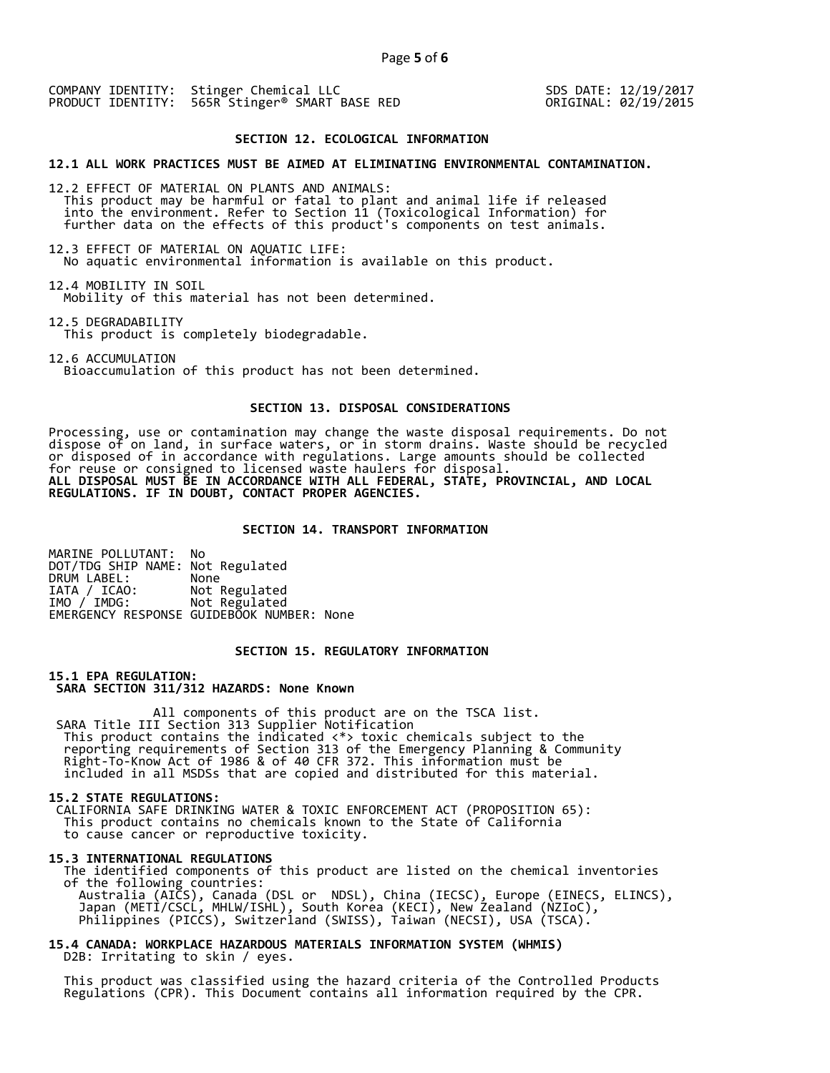SDS DATE: 12/19/2017 ORIGINAL: 02/19/2015

# **SECTION 12. ECOLOGICAL INFORMATION**

# **12.1 ALL WORK PRACTICES MUST BE AIMED AT ELIMINATING ENVIRONMENTAL CONTAMINATION.**

12.2 EFFECT OF MATERIAL ON PLANTS AND ANIMALS: This product may be harmful or fatal to plant and animal life if released into the environment. Refer to Section 11 (Toxicological Information) for further data on the effects of this product's components on test animals.

12.3 EFFECT OF MATERIAL ON AQUATIC LIFE: No aquatic environmental information is available on this product.

12.4 MOBILITY IN SOIL Mobility of this material has not been determined.

12.5 DEGRADABILITY

This product is completely biodegradable.

12.6 ACCUMULATION Bioaccumulation of this product has not been determined.

# **SECTION 13. DISPOSAL CONSIDERATIONS**

Processing, use or contamination may change the waste disposal requirements. Do not dispose of on land, in surface waters, or in storm drains. Waste should be recycled or disposed of in accordance with regulations. Large amounts should be collected for reuse or consigned to licensed waste haulers for disposal. **ALL DISPOSAL MUST BE IN ACCORDANCE WITH ALL FEDERAL, STATE, PROVINCIAL, AND LOCAL REGULATIONS. IF IN DOUBT, CONTACT PROPER AGENCIES.** 

# **SECTION 14. TRANSPORT INFORMATION**

MARINE POLLUTANT: No DOT/TDG SHIP NAME: Not Regulated DRUM LABEL:<br>IATA / ICAO: IATA / ICAO: Not Regulated<br>IMO / IMDG: Not Regulated Not Regulated EMERGENCY RESPONSE GUIDEBOOK NUMBER: None

# **SECTION 15. REGULATORY INFORMATION**

**15.1 EPA REGULATION: SARA SECTION 311/312 HAZARDS: None Known** 

All components of this product are on the TSCA list. SARA Title III Section 313 Supplier Notification This product contains the indicated <\*> toxic chemicals subject to the reporting requirements of Section 313 of the Emergency Planning & Community Right-To-Know Act of 1986 & of 40 CFR 372. This information must be included in all MSDSs that are copied and distributed for this material.

#### **15.2 STATE REGULATIONS:**

 CALIFORNIA SAFE DRINKING WATER & TOXIC ENFORCEMENT ACT (PROPOSITION 65): This product contains no chemicals known to the State of California to cause cancer or reproductive toxicity.

#### **15.3 INTERNATIONAL REGULATIONS**

 The identified components of this product are listed on the chemical inventories of the following countries: Australia (AICS), Canada (DSL or NDSL), China (IECSC), Europe (EINECS, ELINCS), Japan (METI/CSCL, MHLW/ISHL), South Korea (KECI), New Zealand (NZIoC), Philippines (PICCS), Switzerland (SWISS), Taiwan (NECSI), USA (TSCA).

# **15.4 CANADA: WORKPLACE HAZARDOUS MATERIALS INFORMATION SYSTEM (WHMIS)**  D2B: Irritating to skin / eyes.

 This product was classified using the hazard criteria of the Controlled Products Regulations (CPR). This Document contains all information required by the CPR.